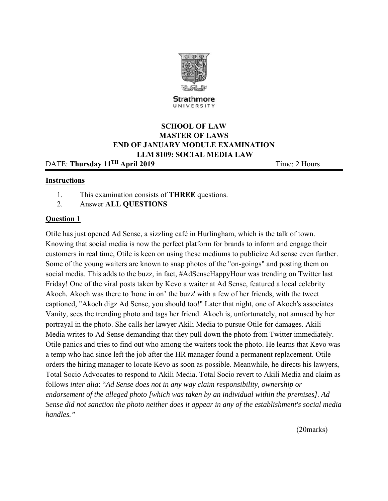

Strathmore UNIVERSITY

# **SCHOOL OF LAW MASTER OF LAWS END OF JANUARY MODULE EXAMINATION LLM 8109: SOCIAL MEDIA LAW**

DATE: **Thursday 11<sup>TH</sup> April 2019 Time: 2 Hours** 

# **Instructions**

- 1. This examination consists of **THREE** questions.
- 2. Answer **ALL QUESTIONS**

# **Question 1**

Otile has just opened Ad Sense, a sizzling café in Hurlingham, which is the talk of town. Knowing that social media is now the perfect platform for brands to inform and engage their customers in real time, Otile is keen on using these mediums to publicize Ad sense even further. Some of the young waiters are known to snap photos of the "on-goings" and posting them on social media. This adds to the buzz, in fact, #AdSenseHappyHour was trending on Twitter last Friday! One of the viral posts taken by Kevo a waiter at Ad Sense, featured a local celebrity Akoch*.* Akoch was there to 'hone in on' the buzz' with a few of her friends, with the tweet captioned, "Akoch digz Ad Sense, you should too!" Later that night, one of Akoch's associates Vanity, sees the trending photo and tags her friend. Akoch is, unfortunately, not amused by her portrayal in the photo. She calls her lawyer Akili Media to pursue Otile for damages. Akili Media writes to Ad Sense demanding that they pull down the photo from Twitter immediately. Otile panics and tries to find out who among the waiters took the photo. He learns that Kevo was a temp who had since left the job after the HR manager found a permanent replacement. Otile orders the hiring manager to locate Kevo as soon as possible. Meanwhile, he directs his lawyers, Total Socio Advocates to respond to Akili Media. Total Socio revert to Akili Media and claim as follows *inter alia*: "*Ad Sense does not in any way claim responsibility, ownership or endorsement of the alleged photo [which was taken by an individual within the premises]. Ad Sense did not sanction the photo neither does it appear in any of the establishment's social media handles."* 

(20marks)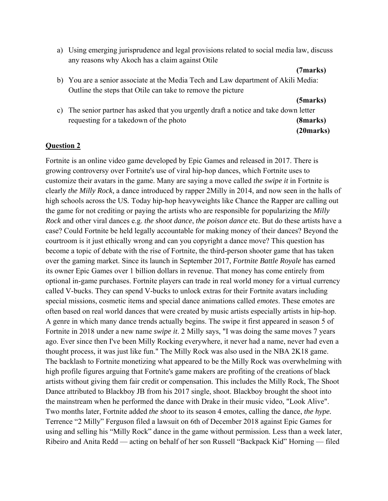a) Using emerging jurisprudence and legal provisions related to social media law, discuss any reasons why Akoch has a claim against Otile

#### **(7marks)**

b) You are a senior associate at the Media Tech and Law department of Akili Media: Outline the steps that Otile can take to remove the picture

**(5marks)**

c) The senior partner has asked that you urgently draft a notice and take down letter requesting for a takedown of the photo **(8marks) (20marks)**

### **Question 2**

Fortnite is an online video game developed by Epic Games and released in 2017. There is growing controversy over Fortnite's use of viral hip-hop dances, which Fortnite uses to customize their avatars in the game. Many are saying a move called *the swipe it* in Fortnite is clearly *the Milly Rock,* a dance introduced by rapper 2Milly in 2014, and now seen in the halls of high schools across the US*.* Today hip-hop heavyweights like Chance the Rapper are calling out the game for not crediting or paying the artists who are responsible for popularizing the *Milly Rock* and other viral dances e.g. *the shoot dance*, *the poison dance* etc. But do these artists have a case? Could Fortnite be held legally accountable for making money of their dances? Beyond the courtroom is it just ethically wrong and can you copyright a dance move? This question has become a topic of debate with the rise of Fortnite, the third-person shooter game that has taken over the gaming market. Since its launch in September 2017, *Fortnite Battle Royale* has earned its owner Epic Games over 1 billion dollars in revenue. That money has come entirely from optional in-game purchases. Fortnite players can trade in real world money for a virtual currency called V-bucks. They can spend V-bucks to unlock extras for their Fortnite avatars including special missions, cosmetic items and special dance animations called *emotes*. These emotes are often based on real world dances that were created by music artists especially artists in hip-hop. A genre in which many dance trends actually begins. The swipe it first appeared in season 5 of Fortnite in 2018 under a new name *swipe it*. 2 Milly says, "I was doing the same moves 7 years ago. Ever since then I've been Milly Rocking everywhere, it never had a name, never had even a thought process, it was just like fun." The Milly Rock was also used in the NBA 2K18 game. The backlash to Fortnite monetizing what appeared to be the Milly Rock was overwhelming with high profile figures arguing that Fortnite's game makers are profiting of the creations of black artists without giving them fair credit or compensation. This includes the Milly Rock, The Shoot Dance attributed to Blackboy JB from his 2017 single, shoot. Blackboy brought the shoot into the mainstream when he performed the dance with Drake in their music video, "Look Alive". Two months later, Fortnite added *the shoot* to its season 4 emotes, calling the dance, *the hype.*  Terrence "2 Milly" Ferguson filed a lawsuit on 6th of December 2018 against Epic Games for using and selling his "Milly Rock" dance in the game without permission. Less than a week later, Ribeiro and Anita Redd — acting on behalf of her son Russell "Backpack Kid" Horning — filed